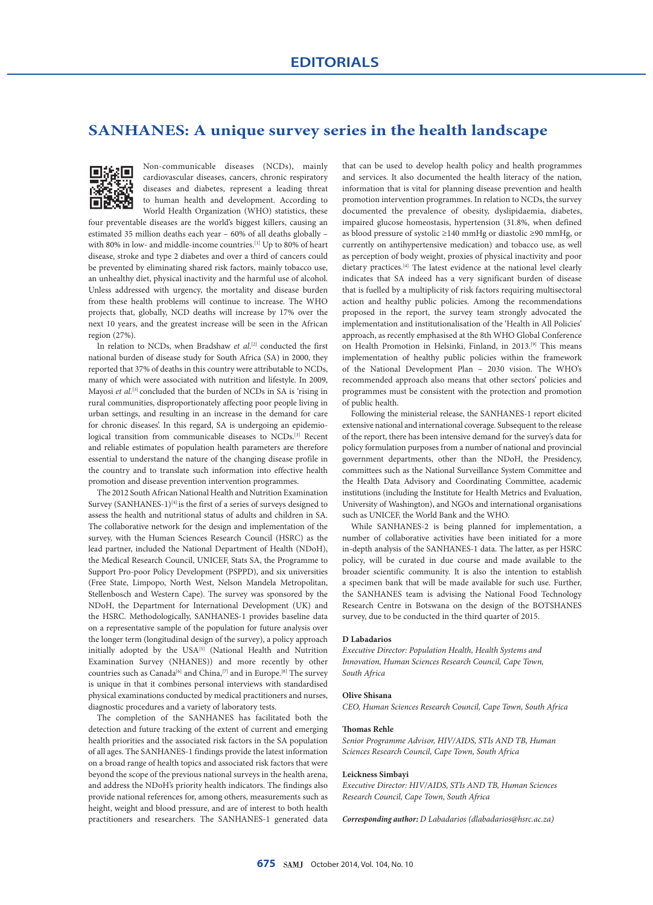# **SANHANES: A unique survey series in the health landscape**



Non-communicable diseases (NCDs), mainly cardiovascular diseases, cancers, chronic respiratory diseases and diabetes, represent a leading threat to human health and development. According to World Health Organization (WHO) statistics, these

four preventable diseases are the world's biggest killers, causing an estimated 35 million deaths each year – 60% of all deaths globally – with 80% in low- and middle-income countries.<sup>[1]</sup> Up to 80% of heart disease, stroke and type 2 diabetes and over a third of cancers could be prevented by eliminating shared risk factors, mainly tobacco use, an unhealthy diet, physical inactivity and the harmful use of alcohol. Unless addressed with urgency, the mortality and disease burden from these health problems will continue to increase. The WHO projects that, globally, NCD deaths will increase by 17% over the next 10 years, and the greatest increase will be seen in the African region (27%).

In relation to NCDs, when Bradshaw *et al*. [2] conducted the first national burden of disease study for South Africa (SA) in 2000, they reported that 37% of deaths in this country were attributable to NCDs, many of which were associated with nutrition and lifestyle. In 2009, Mayosi *et al*. [3] concluded that the burden of NCDs in SA is 'rising in rural communities, disproportionately affecting poor people living in urban settings, and resulting in an increase in the demand for care for chronic diseases'. In this regard, SA is undergoing an epidemiological transition from communicable diseases to NCDs.[3] Recent and reliable estimates of population health parameters are therefore essential to understand the nature of the changing disease profile in the country and to translate such information into effective health promotion and disease prevention intervention programmes.

The 2012 South African National Health and Nutrition Examination Survey (SANHANES-1) $^{[4]}$  is the first of a series of surveys designed to assess the health and nutritional status of adults and children in SA. The collaborative network for the design and implementation of the survey, with the Human Sciences Research Council (HSRC) as the lead partner, included the National Department of Health (NDoH), the Medical Research Council, UNICEF, Stats SA, the Programme to Support Pro-poor Policy Development (PSPPD), and six universities (Free State, Limpopo, North West, Nelson Mandela Metropolitan, Stellenbosch and Western Cape). The survey was sponsored by the NDoH, the Department for International Development (UK) and the HSRC. Methodologically, SANHANES-1 provides baseline data on a representative sample of the population for future analysis over the longer term (longitudinal design of the survey), a policy approach initially adopted by the USA<sup>[5]</sup> (National Health and Nutrition Examination Survey (NHANES)) and more recently by other countries such as Canada<sup>[6]</sup> and China,<sup>[7]</sup> and in Europe.<sup>[8]</sup> The survey is unique in that it combines personal interviews with standardised physical examinations conducted by medical practitioners and nurses, diagnostic procedures and a variety of laboratory tests.

The completion of the SANHANES has facilitated both the detection and future tracking of the extent of current and emerging health priorities and the associated risk factors in the SA population of all ages. The SANHANES-1 findings provide the latest information on a broad range of health topics and associated risk factors that were beyond the scope of the previous national surveys in the health arena, and address the NDoH's priority health indicators. The findings also provide national references for, among others, measurements such as height, weight and blood pressure, and are of interest to both health practitioners and researchers. The SANHANES-1 generated data

that can be used to develop health policy and health programmes and services. It also documented the health literacy of the nation, information that is vital for planning disease prevention and health promotion intervention programmes. In relation to NCDs, the survey documented the prevalence of obesity, dyslipidaemia, diabetes, impaired glucose homeostasis, hypertension (31.8%, when defined as blood pressure of systolic ≥140 mmHg or diastolic ≥90 mmHg, or currently on antihypertensive medication) and tobacco use, as well as perception of body weight, proxies of physical inactivity and poor dietary practices.[4] The latest evidence at the national level clearly indicates that SA indeed has a very significant burden of disease that is fuelled by a multiplicity of risk factors requiring multisectoral action and healthy public policies. Among the recommendations proposed in the report, the survey team strongly advocated the implementation and institutionalisation of the 'Health in All Policies' approach, as recently emphasised at the 8th WHO Global Conference on Health Promotion in Helsinki, Finland, in 2013.<sup>[9]</sup> This means implementation of healthy public policies within the framework of the National Development Plan – 2030 vision. The WHO's recommended approach also means that other sectors' policies and programmes must be consistent with the protection and promotion of public health.

Following the ministerial release, the SANHANES-1 report elicited extensive national and international coverage. Subsequent to the release of the report, there has been intensive demand for the survey's data for policy formulation purposes from a number of national and provincial government departments, other than the NDoH, the Presidency, committees such as the National Surveillance System Committee and the Health Data Advisory and Coordinating Committee, academic institutions (including the Institute for Health Metrics and Evaluation, University of Washington), and NGOs and international organisations such as UNICEF, the World Bank and the WHO.

While SANHANES-2 is being planned for implementation, a number of collaborative activities have been initiated for a more in-depth analysis of the SANHANES-1 data. The latter, as per HSRC policy, will be curated in due course and made available to the broader scientific community. It is also the intention to establish a specimen bank that will be made available for such use. Further, the SANHANES team is advising the National Food Technology Research Centre in Botswana on the design of the BOTSHANES survey, due to be conducted in the third quarter of 2015.

### **D Labadarios**

*Executive Director: Population Health, Health Systems and Innovation, Human Sciences Research Council, Cape Town, South Africa*

## **Olive Shisana**

*CEO, Human Sciences Research Council, Cape Town, South Africa*

### **Thomas Rehle**

*Senior Programme Advisor, HIV/AIDS, STIs AND TB, Human Sciences Research Council, Cape Town, South Africa*

#### **Leickness Simbayi**

*Executive Director: HIV/AIDS, STIs AND TB, Human Sciences Research Council, Cape Town, South Africa* 

*Corresponding author: D Labadarios (dlabadarios@hsrc.ac.za)*